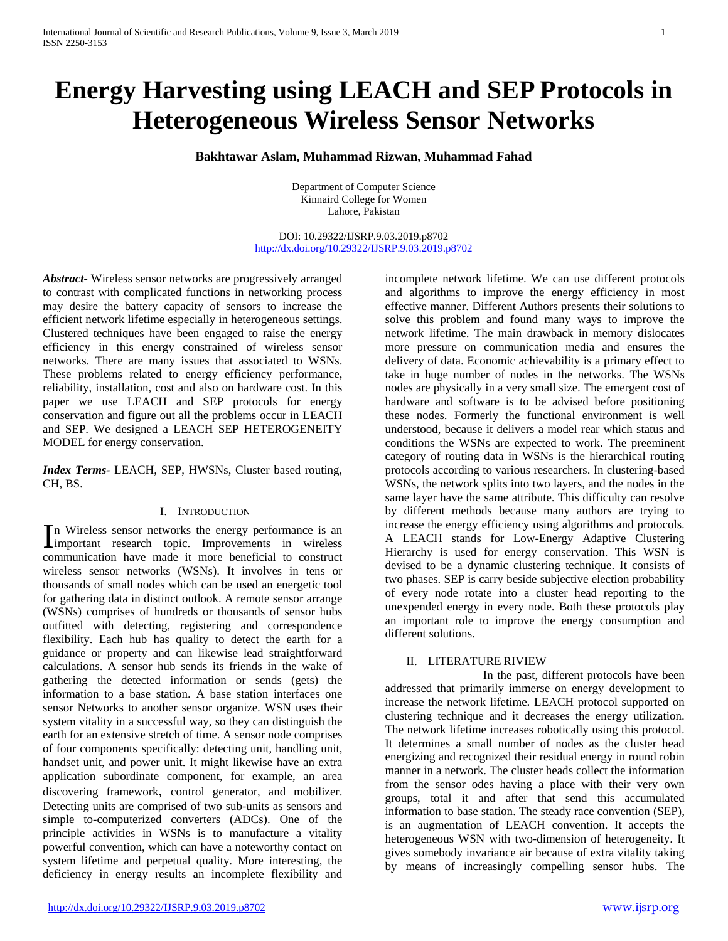# **Energy Harvesting using LEACH and SEP Protocols in Heterogeneous Wireless Sensor Networks**

**Bakhtawar Aslam, Muhammad Rizwan, Muhammad Fahad**

Department of Computer Science Kinnaird College for Women Lahore, Pakistan

DOI: 10.29322/IJSRP.9.03.2019.p8702 <http://dx.doi.org/10.29322/IJSRP.9.03.2019.p8702>

*Abstract***-** Wireless sensor networks are progressively arranged to contrast with complicated functions in networking process may desire the battery capacity of sensors to increase the efficient network lifetime especially in heterogeneous settings. Clustered techniques have been engaged to raise the energy efficiency in this energy constrained of wireless sensor networks. There are many issues that associated to WSNs. These problems related to energy efficiency performance, reliability, installation, cost and also on hardware cost. In this paper we use LEACH and SEP protocols for energy conservation and figure out all the problems occur in LEACH and SEP. We designed a LEACH SEP HETEROGENEITY MODEL for energy conservation.

*Index Terms-* LEACH, SEP, HWSNs, Cluster based routing, CH, BS.

## I. INTRODUCTION

n Wireless sensor networks the energy performance is an In Wireless sensor networks the energy performance is an improvements in wireless communication have made it more beneficial to construct wireless sensor networks (WSNs). It involves in tens or thousands of small nodes which can be used an energetic tool for gathering data in distinct outlook. A remote sensor arrange (WSNs) comprises of hundreds or thousands of sensor hubs outfitted with detecting, registering and correspondence flexibility. Each hub has quality to detect the earth for a guidance or property and can likewise lead straightforward calculations. A sensor hub sends its friends in the wake of gathering the detected information or sends (gets) the information to a base station. A base station interfaces one sensor Networks to another sensor organize. WSN uses their system vitality in a successful way, so they can distinguish the earth for an extensive stretch of time. A sensor node comprises of four components specifically: detecting unit, handling unit, handset unit, and power unit. It might likewise have an extra application subordinate component, for example, an area discovering framework, control generator, and mobilizer. Detecting units are comprised of two sub-units as sensors and simple to-computerized converters (ADCs). One of the principle activities in WSNs is to manufacture a vitality powerful convention, which can have a noteworthy contact on system lifetime and perpetual quality. More interesting, the deficiency in energy results an incomplete flexibility and

incomplete network lifetime. We can use different protocols and algorithms to improve the energy efficiency in most effective manner. Different Authors presents their solutions to solve this problem and found many ways to improve the network lifetime. The main drawback in memory dislocates more pressure on communication media and ensures the delivery of data. Economic achievability is a primary effect to take in huge number of nodes in the networks. The WSNs nodes are physically in a very small size. The emergent cost of hardware and software is to be advised before positioning these nodes. Formerly the functional environment is well understood, because it delivers a model rear which status and conditions the WSNs are expected to work. The preeminent category of routing data in WSNs is the hierarchical routing protocols according to various researchers. In clustering-based WSNs, the network splits into two layers, and the nodes in the same layer have the same attribute. This difficulty can resolve by different methods because many authors are trying to increase the energy efficiency using algorithms and protocols. A LEACH stands for Low-Energy Adaptive Clustering Hierarchy is used for energy conservation. This WSN is devised to be a dynamic clustering technique. It consists of two phases. SEP is carry beside subjective election probability of every node rotate into a cluster head reporting to the unexpended energy in every node. Both these protocols play an important role to improve the energy consumption and different solutions.

## II. LITERATURE RIVIEW

 In the past, different protocols have been addressed that primarily immerse on energy development to increase the network lifetime. LEACH protocol supported on clustering technique and it decreases the energy utilization. The network lifetime increases robotically using this protocol. It determines a small number of nodes as the cluster head energizing and recognized their residual energy in round robin manner in a network. The cluster heads collect the information from the sensor odes having a place with their very own groups, total it and after that send this accumulated information to base station. The steady race convention (SEP), is an augmentation of LEACH convention. It accepts the heterogeneous WSN with two-dimension of heterogeneity. It gives somebody invariance air because of extra vitality taking by means of increasingly compelling sensor hubs. The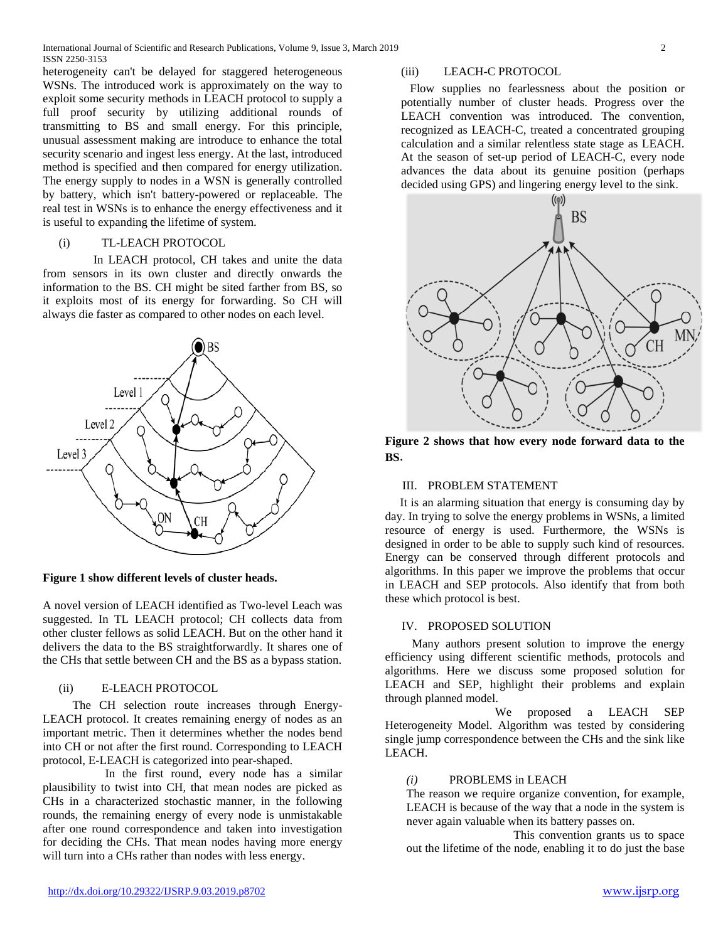heterogeneity can't be delayed for staggered heterogeneous WSNs. The introduced work is approximately on the way to exploit some security methods in LEACH protocol to supply a full proof security by utilizing additional rounds of transmitting to BS and small energy. For this principle, unusual assessment making are introduce to enhance the total security scenario and ingest less energy. At the last, introduced method is specified and then compared for energy utilization. The energy supply to nodes in a WSN is generally controlled by battery, which isn't battery-powered or replaceable. The real test in WSNs is to enhance the energy effectiveness and it is useful to expanding the lifetime of system.

## (i) TL-LEACH PROTOCOL

 In LEACH protocol, CH takes and unite the data from sensors in its own cluster and directly onwards the information to the BS. CH might be sited farther from BS, so it exploits most of its energy for forwarding. So CH will always die faster as compared to other nodes on each level.



**Figure 1 show different levels of cluster heads.** 

A novel version of LEACH identified as Two-level Leach was suggested. In TL LEACH protocol; CH collects data from other cluster fellows as solid LEACH. But on the other hand it delivers the data to the BS straightforwardly. It shares one of the CHs that settle between CH and the BS as a bypass station.

## (ii) E-LEACH PROTOCOL

 The CH selection route increases through Energy-LEACH protocol. It creates remaining energy of nodes as an important metric. Then it determines whether the nodes bend into CH or not after the first round. Corresponding to LEACH protocol, E-LEACH is categorized into pear-shaped.

 In the first round, every node has a similar plausibility to twist into CH, that mean nodes are picked as CHs in a characterized stochastic manner, in the following rounds, the remaining energy of every node is unmistakable after one round correspondence and taken into investigation for deciding the CHs. That mean nodes having more energy will turn into a CHs rather than nodes with less energy.

#### (iii) LEACH-C PROTOCOL

 Flow supplies no fearlessness about the position or potentially number of cluster heads. Progress over the LEACH convention was introduced. The convention, recognized as LEACH-C, treated a concentrated grouping calculation and a similar relentless state stage as LEACH. At the season of set-up period of LEACH-C, every node advances the data about its genuine position (perhaps decided using GPS) and lingering energy level to the sink.



**Figure 2 shows that how every node forward data to the BS**.

## III. PROBLEM STATEMENT

It is an alarming situation that energy is consuming day by day. In trying to solve the energy problems in WSNs, a limited resource of energy is used. Furthermore, the WSNs is designed in order to be able to supply such kind of resources. Energy can be conserved through different protocols and algorithms. In this paper we improve the problems that occur in LEACH and SEP protocols. Also identify that from both these which protocol is best.

## IV. PROPOSED SOLUTION

 Many authors present solution to improve the energy efficiency using different scientific methods, protocols and algorithms. Here we discuss some proposed solution for LEACH and SEP, highlight their problems and explain through planned model.

 We proposed a LEACH SEP Heterogeneity Model. Algorithm was tested by considering single jump correspondence between the CHs and the sink like LEACH.

## *(i)* PROBLEMS in LEACH

The reason we require organize convention, for example, LEACH is because of the way that a node in the system is never again valuable when its battery passes on.

 This convention grants us to space out the lifetime of the node, enabling it to do just the base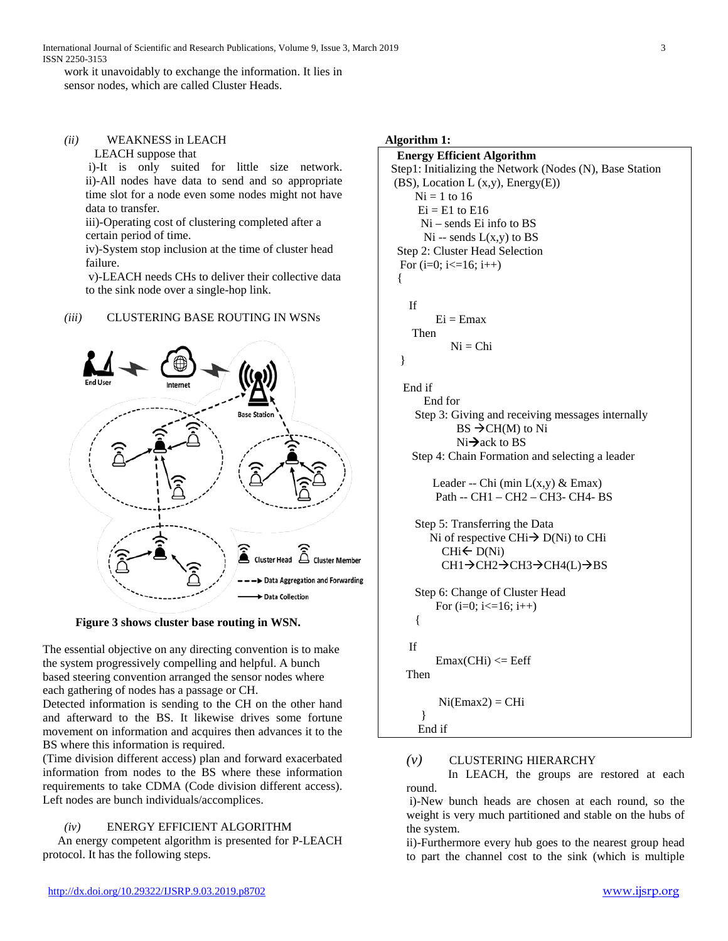International Journal of Scientific and Research Publications, Volume 9, Issue 3, March 2019 3 ISSN 2250-3153

work it unavoidably to exchange the information. It lies in sensor nodes, which are called Cluster Heads.

## *(ii)* WEAKNESS in LEACH

LEACH suppose that

i)-It is only suited for little size network. ii)-All nodes have data to send and so appropriate time slot for a node even some nodes might not have data to transfer.

iii)-Operating cost of clustering completed after a certain period of time.

iv)-System stop inclusion at the time of cluster head failure.

v)-LEACH needs CHs to deliver their collective data to the sink node over a single-hop link.

## *(iii)* CLUSTERING BASE ROUTING IN WSNs



 **Figure 3 shows cluster base routing in WSN.** 

The essential objective on any directing convention is to make the system progressively compelling and helpful. A bunch based steering convention arranged the sensor nodes where each gathering of nodes has a passage or CH.

Detected information is sending to the CH on the other hand and afterward to the BS. It likewise drives some fortune movement on information and acquires then advances it to the BS where this information is required.

(Time division different access) plan and forward exacerbated information from nodes to the BS where these information requirements to take CDMA (Code division different access). Left nodes are bunch individuals/accomplices.

## *(iv)* ENERGY EFFICIENT ALGORITHM

 An energy competent algorithm is presented for P-LEACH protocol. It has the following steps.

# **Algorithm 1: Energy Efficient Algorithm** Step1: Initializing the Network (Nodes (N), Base Station (BS), Location L  $(x,y)$ , Energy $(E)$ )  $Ni = 1$  to 16  $Ei = E1$  to  $E16$  Ni – sends Ei info to BS  $Ni -$  sends  $L(x,y)$  to BS Step 2: Cluster Head Selection For  $(i=0; i \leq 16; i++)$  { If  $Ei = Emax$  Then  $Ni = Chi$  } End if End for Step 3: Giving and receiving messages internally  $BS \rightarrow CH(M)$  to Ni  $Ni\rightarrow$  ack to BS Step 4: Chain Formation and selecting a leader Leader -- Chi (min  $L(x,y)$  & Emax) Path -- CH1 – CH2 – CH3- CH4- BS Step 5: Transferring the Data

```
Ni of respective CHi\rightarrow D(Ni) to CHi
  CHi \leftarrow D(Ni)CH1\rightarrow CH2\rightarrow CH3\rightarrow CH4(L)\rightarrow BS
```

```
 Step 6: Change of Cluster Head 
    For (i=0; i<=16; i++) {
If
    Emax(CHi) \leq Eeff
```
Then

 $Ni(Emax2) = CHi$ 

#### } End if

## *(v)* CLUSTERING HIERARCHY

In LEACH, the groups are restored at each round.

i)-New bunch heads are chosen at each round, so the weight is very much partitioned and stable on the hubs of the system.

ii)-Furthermore every hub goes to the nearest group head to part the channel cost to the sink (which is multiple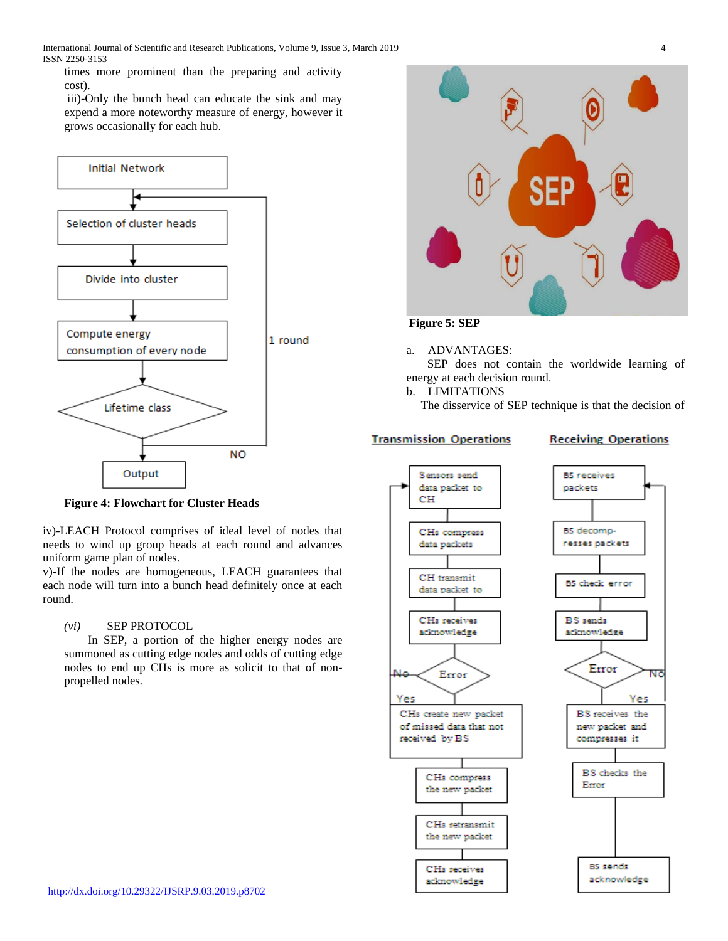International Journal of Scientific and Research Publications, Volume 9, Issue 3, March 2019 4 ISSN 2250-3153

times more prominent than the preparing and activity cost).

iii)-Only the bunch head can educate the sink and may expend a more noteworthy measure of energy, however it grows occasionally for each hub.



**Figure 4: Flowchart for Cluster Heads**

iv)-LEACH Protocol comprises of ideal level of nodes that needs to wind up group heads at each round and advances uniform game plan of nodes.

v)-If the nodes are homogeneous, LEACH guarantees that each node will turn into a bunch head definitely once at each round.

## *(vi)* SEP PROTOCOL

In SEP, a portion of the higher energy nodes are summoned as cutting edge nodes and odds of cutting edge nodes to end up CHs is more as solicit to that of nonpropelled nodes.



 **Figure 5: SEP** 

## a. ADVANTAGES:

SEP does not contain the worldwide learning of energy at each decision round.

b. LIMITATIONS

The disservice of SEP technique is that the decision of

## **Transmission Operations**

## **Receiving Operations**

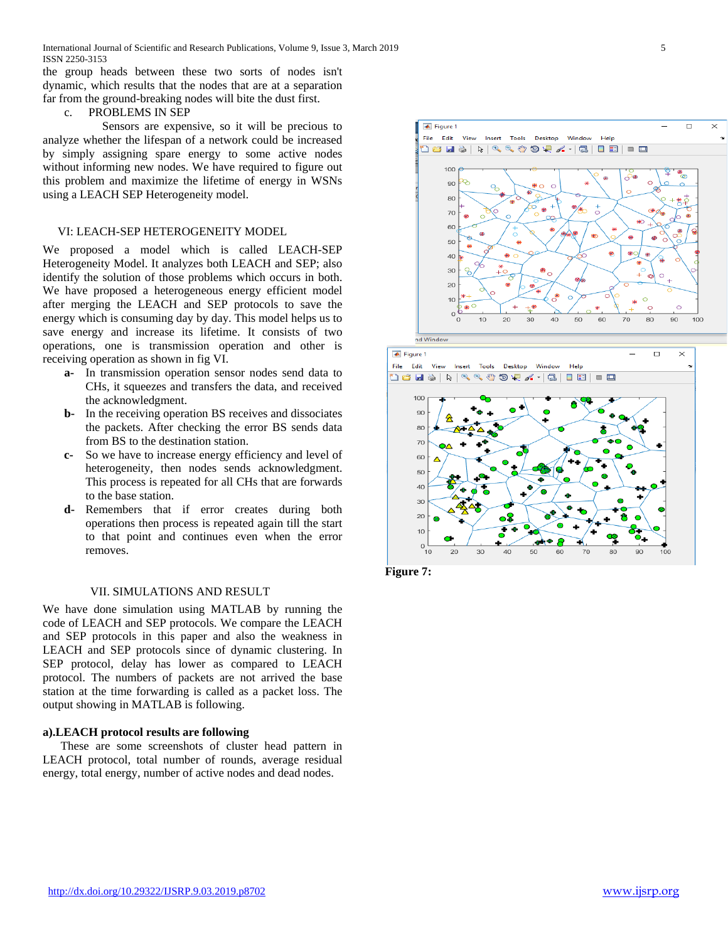International Journal of Scientific and Research Publications, Volume 9, Issue 3, March 2019 5 ISSN 2250-3153

the group heads between these two sorts of nodes isn't dynamic, which results that the nodes that are at a separation far from the ground-breaking nodes will bite the dust first.

#### c. PROBLEMS IN SEP

 Sensors are expensive, so it will be precious to analyze whether the lifespan of a network could be increased by simply assigning spare energy to some active nodes without informing new nodes. We have required to figure out this problem and maximize the lifetime of energy in WSNs using a LEACH SEP Heterogeneity model.

#### VI: LEACH-SEP HETEROGENEITY MODEL

We proposed a model which is called LEACH-SEP Heterogeneity Model. It analyzes both LEACH and SEP; also identify the solution of those problems which occurs in both. We have proposed a heterogeneous energy efficient model after merging the LEACH and SEP protocols to save the energy which is consuming day by day. This model helps us to save energy and increase its lifetime. It consists of two operations, one is transmission operation and other is receiving operation as shown in fig VI.

- **a-** In transmission operation sensor nodes send data to CHs, it squeezes and transfers the data, and received the acknowledgment.
- **b-** In the receiving operation BS receives and dissociates the packets. After checking the error BS sends data from BS to the destination station.
- **c-** So we have to increase energy efficiency and level of heterogeneity, then nodes sends acknowledgment. This process is repeated for all CHs that are forwards to the base station.
- **d-** Remembers that if error creates during both operations then process is repeated again till the start to that point and continues even when the error removes.

#### VII. SIMULATIONS AND RESULT

We have done simulation using MATLAB by running the code of LEACH and SEP protocols. We compare the LEACH and SEP protocols in this paper and also the weakness in LEACH and SEP protocols since of dynamic clustering. In SEP protocol, delay has lower as compared to LEACH protocol. The numbers of packets are not arrived the base station at the time forwarding is called as a packet loss. The output showing in MATLAB is following.

## **a).LEACH protocol results are following**

These are some screenshots of cluster head pattern in LEACH protocol, total number of rounds, average residual energy, total energy, number of active nodes and dead nodes.





**Figure 7:**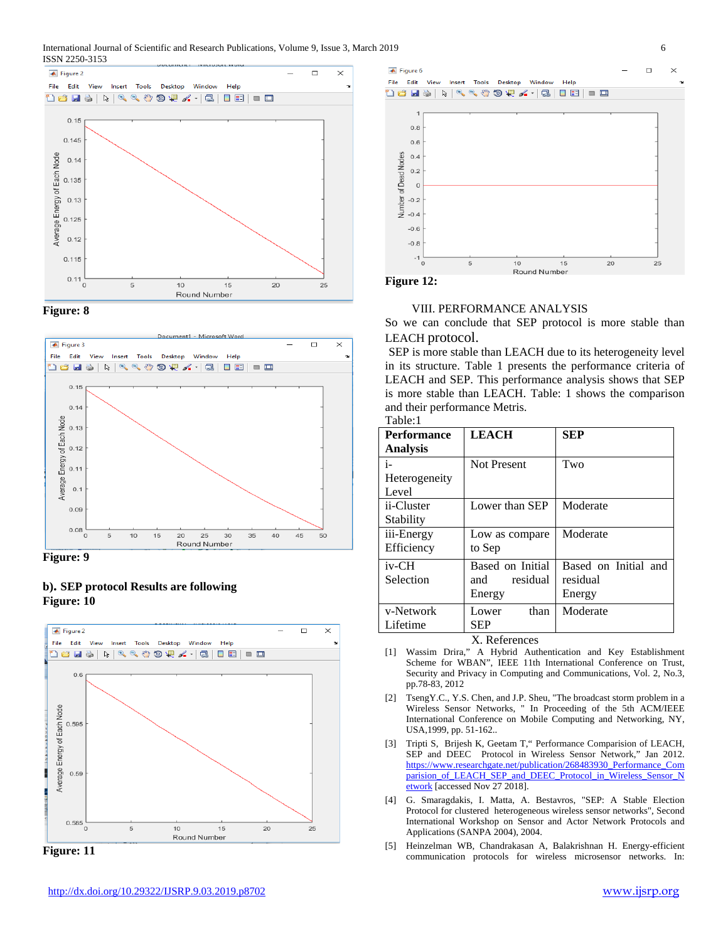







## **b). SEP protocol Results are following Figure: 10**



**Figure: 11**





 $\overline{\bullet}$  Figure 6

## VIII. PERFORMANCE ANALYSIS

So we can conclude that SEP protocol is more stable than

LEACH protocol. SEP is more stable than LEACH due to its heterogeneity level in its structure. Table 1 presents the performance criteria of LEACH and SEP. This performance analysis shows that SEP is more stable than LEACH. Table: 1 shows the comparison and their performance Metris. Table:1

| <b>Performance</b>           | <b>LEACH</b>                                  | SEP                                        |
|------------------------------|-----------------------------------------------|--------------------------------------------|
| <b>Analysis</b>              |                                               |                                            |
| i-<br>Heterogeneity<br>Level | <b>Not Present</b>                            | Two                                        |
| ii-Cluster<br>Stability      | Lower than SEP                                | Moderate                                   |
| iii-Energy<br>Efficiency     | Low as compare<br>to Sep                      | Moderate                                   |
| $iv$ -CH<br>Selection        | Based on Initial<br>residual<br>and<br>Energy | Based on Initial and<br>residual<br>Energy |
| v-Network<br>Lifetime        | than<br>Lower<br><b>SEP</b>                   | Moderate                                   |

## X. References

- [1] Wassim Drira," A Hybrid Authentication and Key Establishment Scheme for WBAN", IEEE 11th International Conference on Trust, Security and Privacy in Computing and Communications, Vol. 2, No.3, pp.78-83, 2012
- [2] TsengY.C., Y.S. Chen, and J.P. Sheu, "The broadcast storm problem in a Wireless Sensor Networks, " In Proceeding of the 5th ACM/IEEE International Conference on Mobile Computing and Networking, NY, USA,1999, pp. 51-162..
- [3] Tripti S, Brijesh K, Geetam T," Performance Comparision of LEACH, SEP and DEEC Protocol in Wireless Sensor Network," Jan 2012. [https://www.researchgate.net/publication/268483930\\_Performance\\_Com](https://www.researchgate.net/publication/268483930_Performance_Comparision_of_LEACH_SEP_and_DEEC_Protocol_in_Wireless_Sensor_Network) [parision\\_of\\_LEACH\\_SEP\\_and\\_DEEC\\_Protocol\\_in\\_Wireless\\_Sensor\\_N](https://www.researchgate.net/publication/268483930_Performance_Comparision_of_LEACH_SEP_and_DEEC_Protocol_in_Wireless_Sensor_Network) [etwork](https://www.researchgate.net/publication/268483930_Performance_Comparision_of_LEACH_SEP_and_DEEC_Protocol_in_Wireless_Sensor_Network) [accessed Nov 27 2018].
- [4] G. Smaragdakis, I. Matta, A. Bestavros, "SEP: A Stable Election Protocol for clustered heterogeneous wireless sensor networks", Second International Workshop on Sensor and Actor Network Protocols and Applications (SANPA 2004), 2004.
- [5] Heinzelman WB, Chandrakasan A, Balakrishnan H. Energy-efficient communication protocols for wireless microsensor networks. In:

 $\Box$